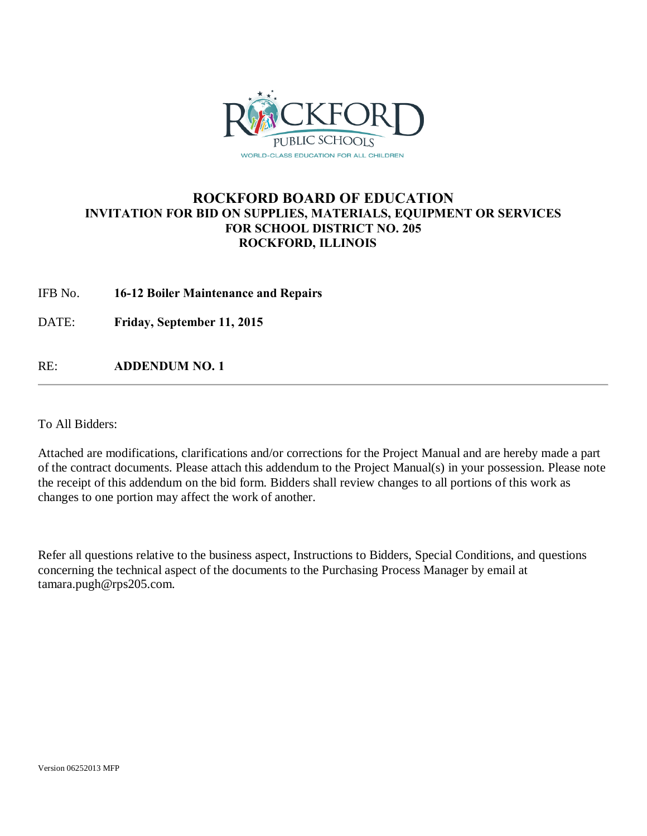

### **ROCKFORD BOARD OF EDUCATION INVITATION FOR BID ON SUPPLIES, MATERIALS, EQUIPMENT OR SERVICES FOR SCHOOL DISTRICT NO. 205 ROCKFORD, ILLINOIS**

IFB No. **16-12 Boiler Maintenance and Repairs**

DATE: **Friday, September 11, 2015**

RE: **ADDENDUM NO. 1**

To All Bidders:

Attached are modifications, clarifications and/or corrections for the Project Manual and are hereby made a part of the contract documents. Please attach this addendum to the Project Manual(s) in your possession. Please note the receipt of this addendum on the bid form. Bidders shall review changes to all portions of this work as changes to one portion may affect the work of another.

Refer all questions relative to the business aspect, Instructions to Bidders, Special Conditions, and questions concerning the technical aspect of the documents to the Purchasing Process Manager by email at tamara.pugh@rps205.com.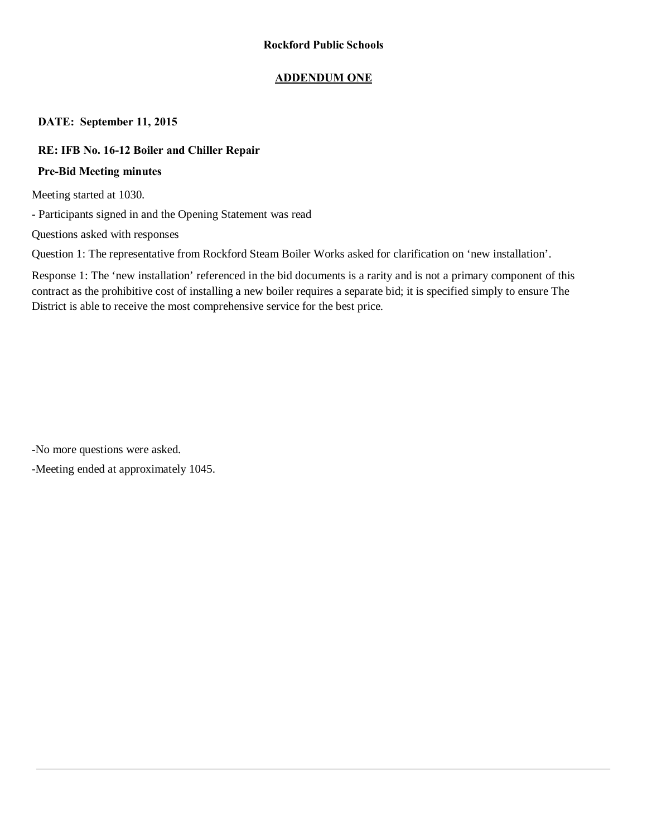### **ADDENDUM ONE**

### **DATE: September 11, 2015**

### **RE: IFB No. 16-12 Boiler and Chiller Repair**

### **Pre-Bid Meeting minutes**

Meeting started at 1030.

- Participants signed in and the Opening Statement was read

Questions asked with responses

Question 1: The representative from Rockford Steam Boiler Works asked for clarification on 'new installation'.

Response 1: The 'new installation' referenced in the bid documents is a rarity and is not a primary component of this contract as the prohibitive cost of installing a new boiler requires a separate bid; it is specified simply to ensure The District is able to receive the most comprehensive service for the best price.

-No more questions were asked.

-Meeting ended at approximately 1045.